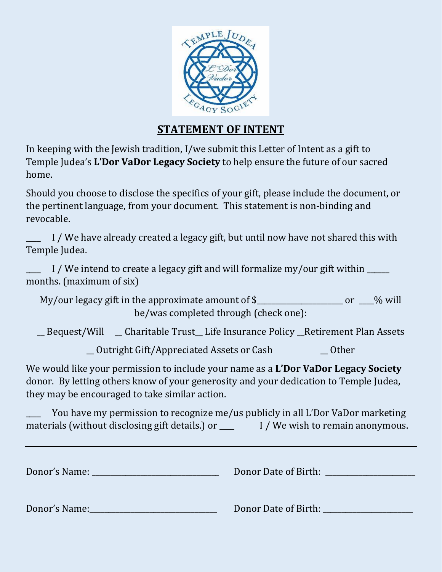

## **STATEMENT OF INTENT**

In keeping with the Jewish tradition, I/we submit this Letter of Intent as a gift to Temple Judea's **L'Dor VaDor Legacy Society** to help ensure the future of our sacred home.

Should you choose to disclose the specifics of your gift, please include the document, or the pertinent language, from your document. This statement is non-binding and revocable.

I / We have already created a legacy gift, but until now have not shared this with Temple Judea.

I / We intend to create a legacy gift and will formalize my/our gift within  $\Box$ months. (maximum of six)

My/our legacy gift in the approximate amount of \$\_\_\_\_\_\_\_\_\_\_\_\_\_\_\_\_\_\_\_\_\_\_ or \_\_\_% will be/was completed through (check one):

\_\_ Bequest/Will \_\_ Charitable Trust\_\_ Life Insurance Policy \_\_Retirement Plan Assets

\_\_ Outright Gift/Appreciated Assets or Cash \_\_ Other

We would like your permission to include your name as a **L'Dor VaDor Legacy Society** donor. By letting others know of your generosity and your dedication to Temple Judea, they may be encouraged to take similar action.

You have my permission to recognize me/us publicly in all L'Dor VaDor marketing materials (without disclosing gift details.) or **I** / We wish to remain anonymous.

Donor's Name: <u>Donor Date of Birth:</u> **Example 2018** 

Donor's Name:\_\_\_\_\_\_\_\_\_\_\_\_\_\_\_\_\_\_\_\_\_\_\_\_\_\_\_\_\_\_\_\_\_\_ Donor Date of Birth: \_\_\_\_\_\_\_\_\_\_\_\_\_\_\_\_\_\_\_\_\_\_\_\_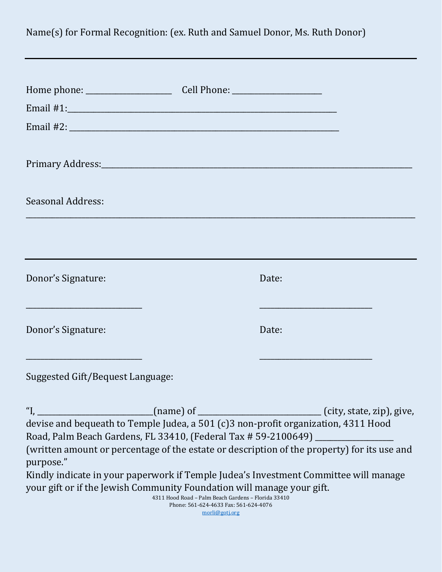Name(s) for Formal Recognition: (ex. Ruth and Samuel Donor, Ms. Ruth Donor) Home phone: \_\_\_\_\_\_\_\_\_\_\_\_\_\_\_\_\_\_\_\_\_\_\_ Cell Phone: \_\_\_\_\_\_\_\_\_\_\_\_\_\_\_\_\_\_\_\_\_\_\_\_ Email #1:\_\_\_\_\_\_\_\_\_\_\_\_\_\_\_\_\_\_\_\_\_\_\_\_\_\_\_\_\_\_\_\_\_\_\_\_\_\_\_\_\_\_\_\_\_\_\_\_\_\_\_\_\_\_\_\_\_\_\_\_\_\_\_\_\_\_\_\_\_\_\_\_ Email #2:  $\Box$ Primary Address:\_\_\_\_\_\_\_\_\_\_\_\_\_\_\_\_\_\_\_\_\_\_\_\_\_\_\_\_\_\_\_\_\_\_\_\_\_\_\_\_\_\_\_\_\_\_\_\_\_\_\_\_\_\_\_\_\_\_\_\_\_\_\_\_\_\_\_\_\_\_\_\_\_\_\_\_\_\_\_\_\_\_\_ Seasonal Address: \_\_\_\_\_\_\_\_\_\_\_\_\_\_\_\_\_\_\_\_\_\_\_\_\_\_\_\_\_\_\_\_\_\_\_\_\_\_\_\_\_\_\_\_\_\_\_\_\_\_\_\_\_\_\_\_\_\_\_\_\_\_\_\_\_\_\_\_\_\_\_\_\_\_\_\_\_\_\_\_\_\_\_\_\_\_\_\_\_\_\_\_\_\_\_\_\_\_\_\_\_\_\_\_ Donor's Signature: Date: Date: Date: Date: Date: Date: Date: Date: Date: Date: Date: Date: Date: Date: Date: Date: Date: Date: Date: Date: Date: Date: Date: Date: Date: Date: Date: Date: Date: Date: Date: Date: Date: Date: \_\_\_\_\_\_\_\_\_\_\_\_\_\_\_\_\_\_\_\_\_\_\_\_\_\_\_\_\_\_\_ \_\_\_\_\_\_\_\_\_\_\_\_\_\_\_\_\_\_\_\_\_\_\_\_\_\_\_\_\_\_ Donor's Signature: Donor's Signature: \_\_\_\_\_\_\_\_\_\_\_\_\_\_\_\_\_\_\_\_\_\_\_\_\_\_\_\_\_\_\_ \_\_\_\_\_\_\_\_\_\_\_\_\_\_\_\_\_\_\_\_\_\_\_\_\_\_\_\_\_\_ Suggested Gift/Bequest Language: "I,  $\frac{1}{\sqrt{2}}$  (name) of  $\frac{1}{\sqrt{2}}$  (city, state, zip), give, devise and bequeath to Temple Judea, a 501 (c)3 non-profit organization, 4311 Hood Road, Palm Beach Gardens, FL 33410, (Federal Tax # 59-2100649) \_\_\_\_\_\_\_\_\_\_\_\_\_\_\_\_\_ (written amount or percentage of the estate or description of the property) for its use and purpose." Kindly indicate in your paperwork if Temple Judea's Investment Committee will manage your gift or if the Jewish Community Foundation will manage your gift. 4311 Hood Road – Palm Beach Gardens – Florida 33410 Phone: 561-624-4633 Fax: 561-624-4076

[morli@gotj.org](mailto:morli@gotj.org)